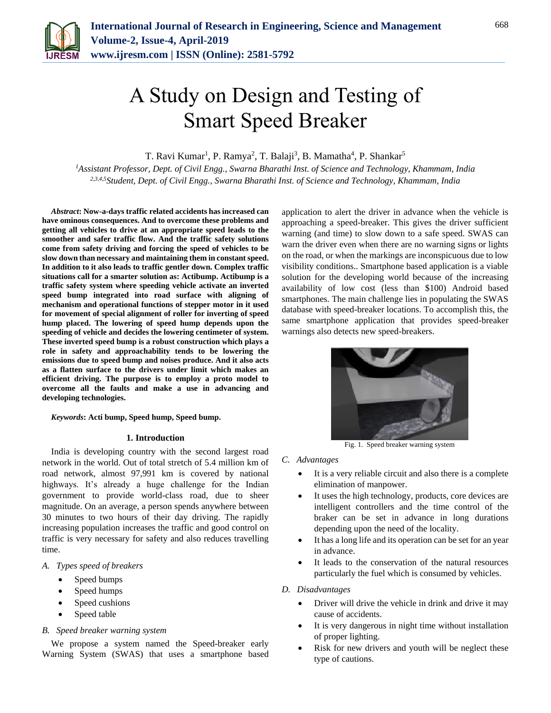

# A Study on Design and Testing of Smart Speed Breaker

T. Ravi Kumar<sup>1</sup>, P. Ramya<sup>2</sup>, T. Balaji<sup>3</sup>, B. Mamatha<sup>4</sup>, P. Shankar<sup>5</sup>

*<sup>1</sup>Assistant Professor, Dept. of Civil Engg., Swarna Bharathi Inst. of Science and Technology, Khammam, India 2,3,4,5Student, Dept. of Civil Engg., Swarna Bharathi Inst. of Science and Technology, Khammam, India*

*Abstract***: Now-a-days traffic related accidents has increased can have ominous consequences. And to overcome these problems and getting all vehicles to drive at an appropriate speed leads to the smoother and safer traffic flow. And the traffic safety solutions come from safety driving and forcing the speed of vehicles to be slow down than necessary and maintaining them in constant speed. In addition to it also leads to traffic gentler down. Complex traffic situations call for a smarter solution as: Actibump. Actibump is a traffic safety system where speeding vehicle activate an inverted speed bump integrated into road surface with aligning of mechanism and operational functions of stepper motor in it used for movement of special alignment of roller for inverting of speed hump placed. The lowering of speed hump depends upon the speeding of vehicle and decides the lowering centimeter of system. These inverted speed bump is a robust construction which plays a role in safety and approachability tends to be lowering the emissions due to speed bump and noises produce. And it also acts as a flatten surface to the drivers under limit which makes an efficient driving. The purpose is to employ a proto model to overcome all the faults and make a use in advancing and developing technologies.**

*Keywords***: Acti bump, Speed hump, Speed bump.**

#### **1. Introduction**

India is developing country with the second largest road network in the world. Out of total stretch of 5.4 million km of road network, almost 97,991 km is covered by national highways. It's already a huge challenge for the Indian government to provide world-class road, due to sheer magnitude. On an average, a person spends anywhere between 30 minutes to two hours of their day driving. The rapidly increasing population increases the traffic and good control on traffic is very necessary for safety and also reduces travelling time.

## *A. Types speed of breakers*

- Speed bumps
- Speed humps
- Speed cushions
- Speed table

#### *B. Speed breaker warning system*

We propose a system named the Speed-breaker early Warning System (SWAS) that uses a smartphone based application to alert the driver in advance when the vehicle is approaching a speed-breaker. This gives the driver sufficient warning (and time) to slow down to a safe speed. SWAS can warn the driver even when there are no warning signs or lights on the road, or when the markings are inconspicuous due to low visibility conditions.. Smartphone based application is a viable solution for the developing world because of the increasing availability of low cost (less than \$100) Android based smartphones. The main challenge lies in populating the SWAS database with speed-breaker locations. To accomplish this, the same smartphone application that provides speed-breaker warnings also detects new speed-breakers.



Fig. 1. Speed breaker warning system

## *C. Advantages*

- It is a very reliable circuit and also there is a complete elimination of manpower.
- It uses the high technology, products, core devices are intelligent controllers and the time control of the braker can be set in advance in long durations depending upon the need of the locality.
- It has a long life and its operation can be set for an year in advance.
- It leads to the conservation of the natural resources particularly the fuel which is consumed by vehicles.

## *D. Disadvantages*

- Driver will drive the vehicle in drink and drive it may cause of accidents.
- It is very dangerous in night time without installation of proper lighting.
- Risk for new drivers and youth will be neglect these type of cautions.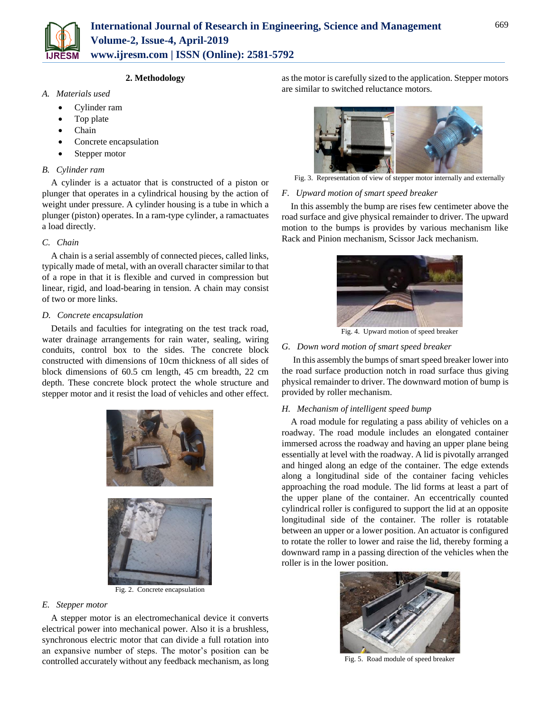

# **2. Methodology**

- *A. Materials used*
	- Cylinder ram
	- Top plate
	- Chain
	- Concrete encapsulation
	- Stepper motor

# *B. Cylinder ram*

A cylinder is a actuator that is constructed of a piston or plunger that operates in a cylindrical housing by the action of weight under pressure. A cylinder housing is a tube in which a plunger (piston) operates. In a ram-type cylinder, a ramactuates a load directly.

# *C. Chain*

A chain is a serial assembly of connected pieces, called links, typically made of metal, with an overall character similar to that of a rope in that it is flexible and curved in compression but linear, rigid, and load-bearing in tension. A chain may consist of two or more links.

# *D. Concrete encapsulation*

Details and faculties for integrating on the test track road, water drainage arrangements for rain water, sealing, wiring conduits, control box to the sides. The concrete block constructed with dimensions of 10cm thickness of all sides of block dimensions of 60.5 cm length, 45 cm breadth, 22 cm depth. These concrete block protect the whole structure and stepper motor and it resist the load of vehicles and other effect.



Fig. 2. Concrete encapsulation

# *E. Stepper motor*

A stepper motor is an electromechanical device it converts electrical power into mechanical power. Also it is a brushless, synchronous electric motor that can divide a full rotation into an expansive number of steps. The motor's position can be controlled accurately without any feedback mechanism, as long as the motor is carefully sized to the application. Stepper motors are similar to switched reluctance motors.



Fig. 3. Representation of view of stepper motor internally and externally

# *F. Upward motion of smart speed breaker*

In this assembly the bump are rises few centimeter above the road surface and give physical remainder to driver. The upward motion to the bumps is provides by various mechanism like Rack and Pinion mechanism, Scissor Jack mechanism.



Fig. 4. Upward motion of speed breaker

# *G. Down word motion of smart speed breaker*

In this assembly the bumps of smart speed breaker lower into the road surface production notch in road surface thus giving physical remainder to driver. The downward motion of bump is provided by roller mechanism.

# *H. Mechanism of intelligent speed bump*

A road module for regulating a pass ability of vehicles on a roadway. The road module includes an elongated container immersed across the roadway and having an upper plane being essentially at level with the roadway. A lid is pivotally arranged and hinged along an edge of the container. The edge extends along a longitudinal side of the container facing vehicles approaching the road module. The lid forms at least a part of the upper plane of the container. An eccentrically counted cylindrical roller is configured to support the lid at an opposite longitudinal side of the container. The roller is rotatable between an upper or a lower position. An actuator is configured to rotate the roller to lower and raise the lid, thereby forming a downward ramp in a passing direction of the vehicles when the roller is in the lower position.



Fig. 5. Road module of speed breaker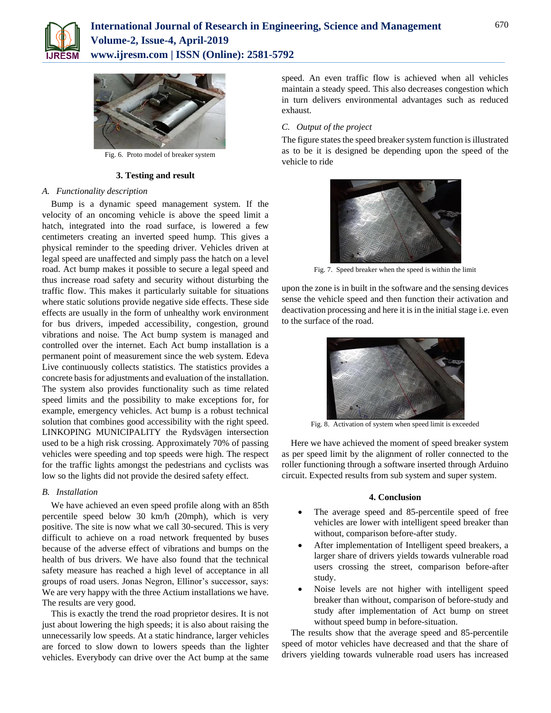



Fig. 6. Proto model of breaker system

#### **3. Testing and result**

#### *A. Functionality description*

Bump is a dynamic speed management system. If the velocity of an oncoming vehicle is above the speed limit a hatch, integrated into the road surface, is lowered a few centimeters creating an inverted speed hump. This gives a physical reminder to the speeding driver. Vehicles driven at legal speed are unaffected and simply pass the hatch on a level road. Act bump makes it possible to secure a legal speed and thus increase road safety and security without disturbing the traffic flow. This makes it particularly suitable for situations where static solutions provide negative side effects. These side effects are usually in the form of unhealthy work environment for bus drivers, impeded accessibility, congestion, ground vibrations and noise. The Act bump system is managed and controlled over the internet. Each Act bump installation is a permanent point of measurement since the web system. Edeva Live continuously collects statistics. The statistics provides a concrete basis for adjustments and evaluation of the installation. The system also provides functionality such as time related speed limits and the possibility to make exceptions for, for example, emergency vehicles. Act bump is a robust technical solution that combines good accessibility with the right speed. LINKOPING MUNICIPALITY the Rydsvägen intersection used to be a high risk crossing. Approximately 70% of passing vehicles were speeding and top speeds were high. The respect for the traffic lights amongst the pedestrians and cyclists was low so the lights did not provide the desired safety effect.

#### *B. Installation*

We have achieved an even speed profile along with an 85th percentile speed below 30 km/h (20mph), which is very positive. The site is now what we call 30-secured. This is very difficult to achieve on a road network frequented by buses because of the adverse effect of vibrations and bumps on the health of bus drivers. We have also found that the technical safety measure has reached a high level of acceptance in all groups of road users. Jonas Negron, Ellinor's successor, says: We are very happy with the three Actium installations we have. The results are very good.

This is exactly the trend the road proprietor desires. It is not just about lowering the high speeds; it is also about raising the unnecessarily low speeds. At a static hindrance, larger vehicles are forced to slow down to lowers speeds than the lighter vehicles. Everybody can drive over the Act bump at the same

speed. An even traffic flow is achieved when all vehicles maintain a steady speed. This also decreases congestion which in turn delivers environmental advantages such as reduced exhaust.

#### *C. Output of the project*

The figure states the speed breaker system function is illustrated as to be it is designed be depending upon the speed of the vehicle to ride



Fig. 7. Speed breaker when the speed is within the limit

upon the zone is in built in the software and the sensing devices sense the vehicle speed and then function their activation and deactivation processing and here it is in the initial stage i.e. even to the surface of the road.



Fig. 8. Activation of system when speed limit is exceeded

Here we have achieved the moment of speed breaker system as per speed limit by the alignment of roller connected to the roller functioning through a software inserted through Arduino circuit. Expected results from sub system and super system.

#### **4. Conclusion**

- The average speed and 85-percentile speed of free vehicles are lower with intelligent speed breaker than without, comparison before-after study.
- After implementation of Intelligent speed breakers, a larger share of drivers yields towards vulnerable road users crossing the street, comparison before-after study.
- Noise levels are not higher with intelligent speed breaker than without, comparison of before-study and study after implementation of Act bump on street without speed bump in before-situation.

The results show that the average speed and 85-percentile speed of motor vehicles have decreased and that the share of drivers yielding towards vulnerable road users has increased